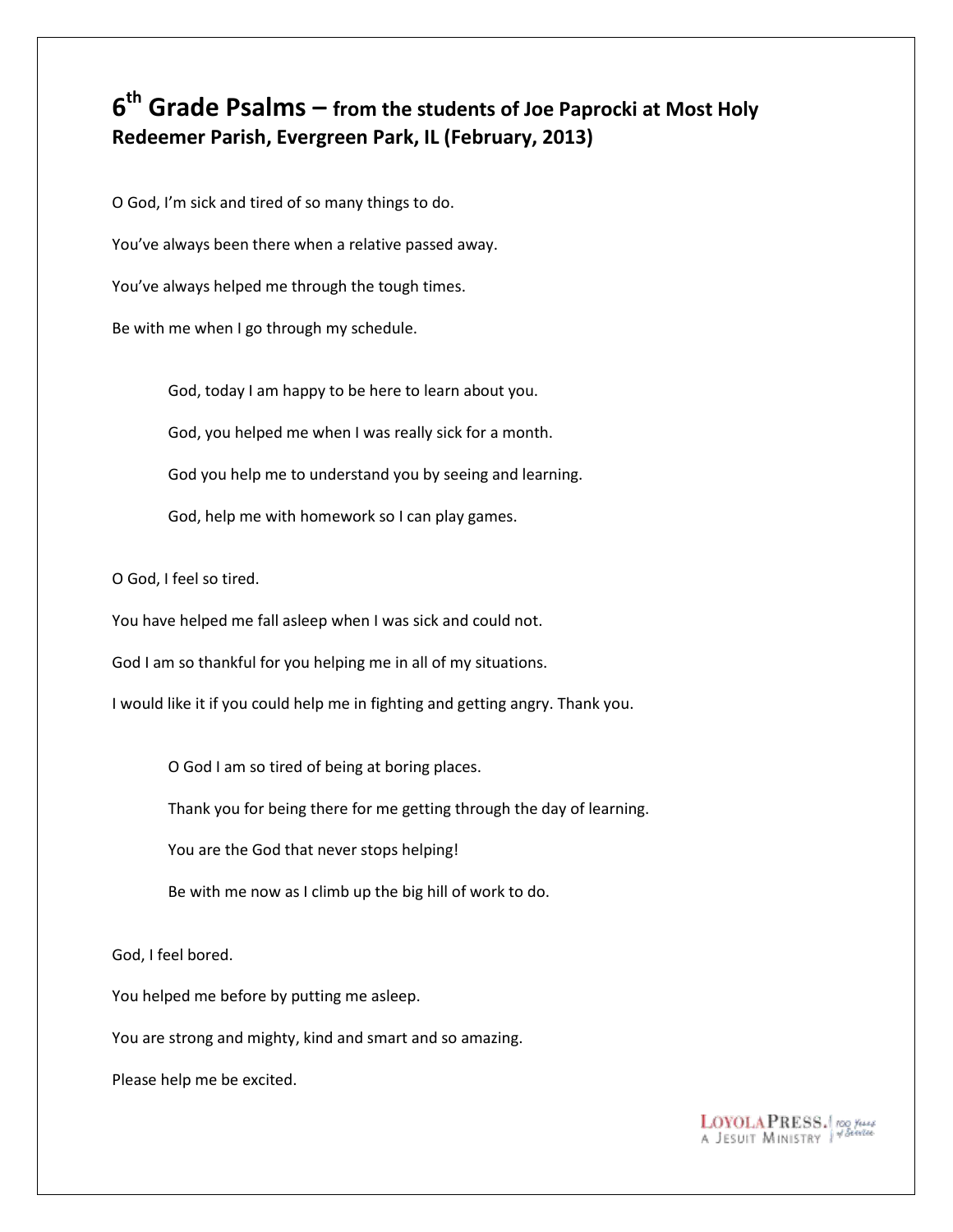## **6 th Grade Psalms – from the students of Joe Paprocki at Most Holy Redeemer Parish, Evergreen Park, IL (February, 2013)**

O God, I'm sick and tired of so many things to do. You've always been there when a relative passed away. You've always helped me through the tough times. Be with me when I go through my schedule.

> God, today I am happy to be here to learn about you. God, you helped me when I was really sick for a month. God you help me to understand you by seeing and learning. God, help me with homework so I can play games.

O God, I feel so tired.

You have helped me fall asleep when I was sick and could not.

God I am so thankful for you helping me in all of my situations.

I would like it if you could help me in fighting and getting angry. Thank you.

O God I am so tired of being at boring places.

Thank you for being there for me getting through the day of learning.

You are the God that never stops helping!

Be with me now as I climb up the big hill of work to do.

God, I feel bored.

You helped me before by putting me asleep.

You are strong and mighty, kind and smart and so amazing.

Please help me be excited.